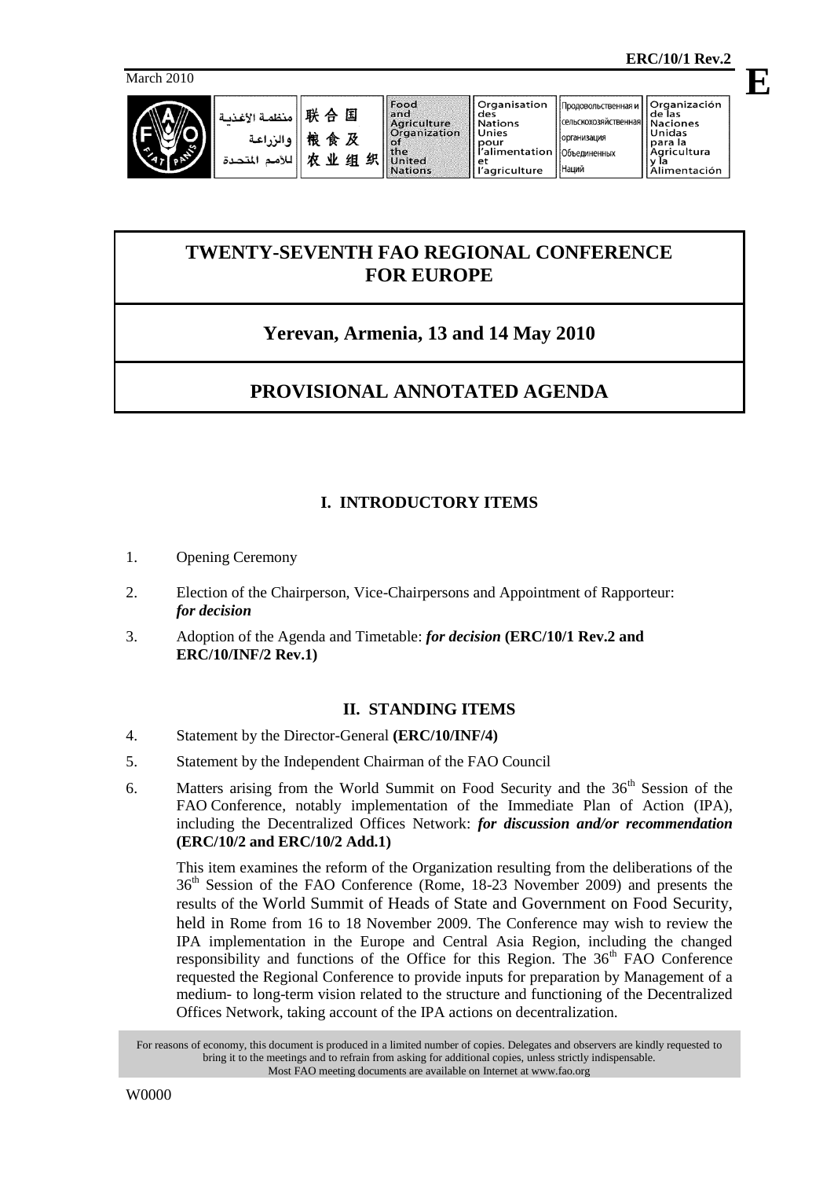**E**



نىة

| 联合国    منظمة الأغ<br>   المنظمة   <br>   للأمم المتد |
|------------------------------------------------------|
|                                                      |
|                                                      |

организация

Наций

Объединенных

# **TWENTY-SEVENTH FAO REGIONAL CONFERENCE FOR EUROPE**

# **Yerevan, Armenia, 13 and 14 May 2010**

# **PROVISIONAL ANNOTATED AGENDA**

## **I. INTRODUCTORY ITEMS**

- 1. Opening Ceremony
- 2. Election of the Chairperson, Vice-Chairpersons and Appointment of Rapporteur: *for decision*
- 3. Adoption of the Agenda and Timetable: *for decision* **(ERC/10/1 Rev.2 and ERC/10/INF/2 Rev.1)**

## **II. STANDING ITEMS**

- 4. Statement by the Director-General **(ERC/10/INF/4)**
- 5. Statement by the Independent Chairman of the FAO Council
- 6. Matters arising from the World Summit on Food Security and the  $36<sup>th</sup>$  Session of the FAO Conference, notably implementation of the Immediate Plan of Action (IPA), including the Decentralized Offices Network: *for discussion and/or recommendation* **(ERC/10/2 and ERC/10/2 Add.1)**

This item examines the reform of the Organization resulting from the deliberations of the 36th Session of the FAO Conference (Rome, 18-23 November 2009) and presents the results of the World Summit of Heads of State and Government on Food Security, held in Rome from 16 to 18 November 2009. The Conference may wish to review the IPA implementation in the Europe and Central Asia Region, including the changed responsibility and functions of the Office for this Region. The 36<sup>th</sup> FAO Conference requested the Regional Conference to provide inputs for preparation by Management of a medium- to long-term vision related to the structure and functioning of the Decentralized Offices Network, taking account of the IPA actions on decentralization.

For reasons of economy, this document is produced in a limited number of copies. Delegates and observers are kindly requested to bring it to the meetings and to refrain from asking for additional copies, unless strictly indispensable. Most FAO meeting documents are available on Internet at www.fao.org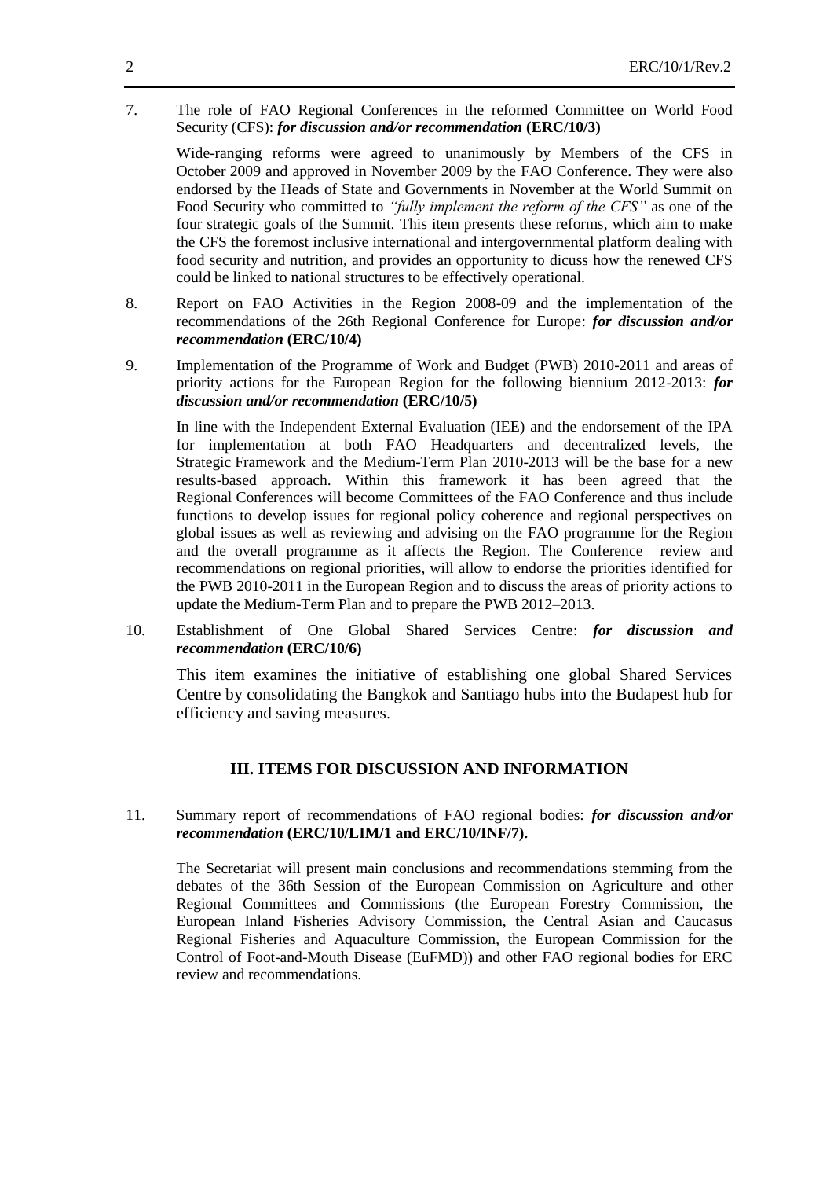7. The role of FAO Regional Conferences in the reformed Committee on World Food Security (CFS): *for discussion and/or recommendation* **(ERC/10/3)**

Wide-ranging reforms were agreed to unanimously by Members of the CFS in October 2009 and approved in November 2009 by the FAO Conference. They were also endorsed by the Heads of State and Governments in November at the World Summit on Food Security who committed to *"fully implement the reform of the CFS"* as one of the four strategic goals of the Summit. This item presents these reforms, which aim to make the CFS the foremost inclusive international and intergovernmental platform dealing with food security and nutrition, and provides an opportunity to dicuss how the renewed CFS could be linked to national structures to be effectively operational.

- 8. Report on FAO Activities in the Region 2008-09 and the implementation of the recommendations of the 26th Regional Conference for Europe: *for discussion and/or recommendation* **(ERC/10/4)**
- 9. Implementation of the Programme of Work and Budget (PWB) 2010-2011 and areas of priority actions for the European Region for the following biennium 2012-2013: *for discussion and/or recommendation* **(ERC/10/5)**

In line with the Independent External Evaluation (IEE) and the endorsement of the IPA for implementation at both FAO Headquarters and decentralized levels, the Strategic Framework and the Medium-Term Plan 2010-2013 will be the base for a new results-based approach. Within this framework it has been agreed that the Regional Conferences will become Committees of the FAO Conference and thus include functions to develop issues for regional policy coherence and regional perspectives on global issues as well as reviewing and advising on the FAO programme for the Region and the overall programme as it affects the Region. The Conference review and recommendations on regional priorities, will allow to endorse the priorities identified for the PWB 2010-2011 in the European Region and to discuss the areas of priority actions to update the Medium-Term Plan and to prepare the PWB 2012–2013.

10. Establishment of One Global Shared Services Centre: *for discussion and recommendation* **(ERC/10/6)**

This item examines the initiative of establishing one global Shared Services Centre by consolidating the Bangkok and Santiago hubs into the Budapest hub for efficiency and saving measures.

### **III. ITEMS FOR DISCUSSION AND INFORMATION**

### 11. Summary report of recommendations of FAO regional bodies: *for discussion and/or recommendation* **(ERC/10/LIM/1 and ERC/10/INF/7).**

The Secretariat will present main conclusions and recommendations stemming from the debates of the 36th Session of the European Commission on Agriculture and other Regional Committees and Commissions (the European Forestry Commission, the European Inland Fisheries Advisory Commission, the Central Asian and Caucasus Regional Fisheries and Aquaculture Commission, the European Commission for the Control of Foot-and-Mouth Disease (EuFMD)) and other FAO regional bodies for ERC review and recommendations.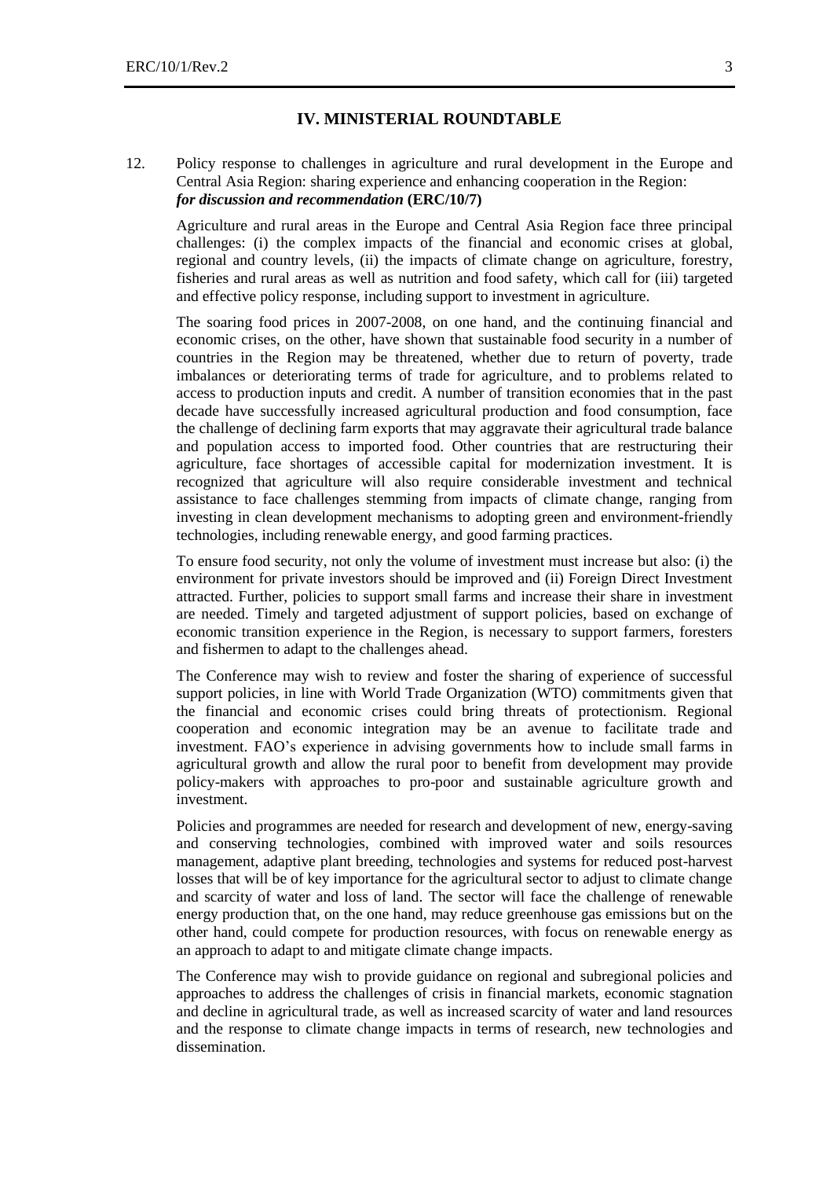#### **IV. MINISTERIAL ROUNDTABLE**

### 12. Policy response to challenges in agriculture and rural development in the Europe and Central Asia Region: sharing experience and enhancing cooperation in the Region: *for discussion and recommendation* **(ERC/10/7)**

Agriculture and rural areas in the Europe and Central Asia Region face three principal challenges: (i) the complex impacts of the financial and economic crises at global, regional and country levels, (ii) the impacts of climate change on agriculture, forestry, fisheries and rural areas as well as nutrition and food safety, which call for (iii) targeted and effective policy response, including support to investment in agriculture.

The soaring food prices in 2007-2008, on one hand, and the continuing financial and economic crises, on the other, have shown that sustainable food security in a number of countries in the Region may be threatened, whether due to return of poverty, trade imbalances or deteriorating terms of trade for agriculture, and to problems related to access to production inputs and credit. A number of transition economies that in the past decade have successfully increased agricultural production and food consumption, face the challenge of declining farm exports that may aggravate their agricultural trade balance and population access to imported food. Other countries that are restructuring their agriculture, face shortages of accessible capital for modernization investment. It is recognized that agriculture will also require considerable investment and technical assistance to face challenges stemming from impacts of climate change, ranging from investing in clean development mechanisms to adopting green and environment-friendly technologies, including renewable energy, and good farming practices.

To ensure food security, not only the volume of investment must increase but also: (i) the environment for private investors should be improved and (ii) Foreign Direct Investment attracted. Further, policies to support small farms and increase their share in investment are needed. Timely and targeted adjustment of support policies, based on exchange of economic transition experience in the Region, is necessary to support farmers, foresters and fishermen to adapt to the challenges ahead.

The Conference may wish to review and foster the sharing of experience of successful support policies, in line with World Trade Organization (WTO) commitments given that the financial and economic crises could bring threats of protectionism. Regional cooperation and economic integration may be an avenue to facilitate trade and investment. FAO's experience in advising governments how to include small farms in agricultural growth and allow the rural poor to benefit from development may provide policy-makers with approaches to pro-poor and sustainable agriculture growth and investment.

Policies and programmes are needed for research and development of new, energy-saving and conserving technologies, combined with improved water and soils resources management, adaptive plant breeding, technologies and systems for reduced post-harvest losses that will be of key importance for the agricultural sector to adjust to climate change and scarcity of water and loss of land. The sector will face the challenge of renewable energy production that, on the one hand, may reduce greenhouse gas emissions but on the other hand, could compete for production resources, with focus on renewable energy as an approach to adapt to and mitigate climate change impacts.

The Conference may wish to provide guidance on regional and subregional policies and approaches to address the challenges of crisis in financial markets, economic stagnation and decline in agricultural trade, as well as increased scarcity of water and land resources and the response to climate change impacts in terms of research, new technologies and dissemination.